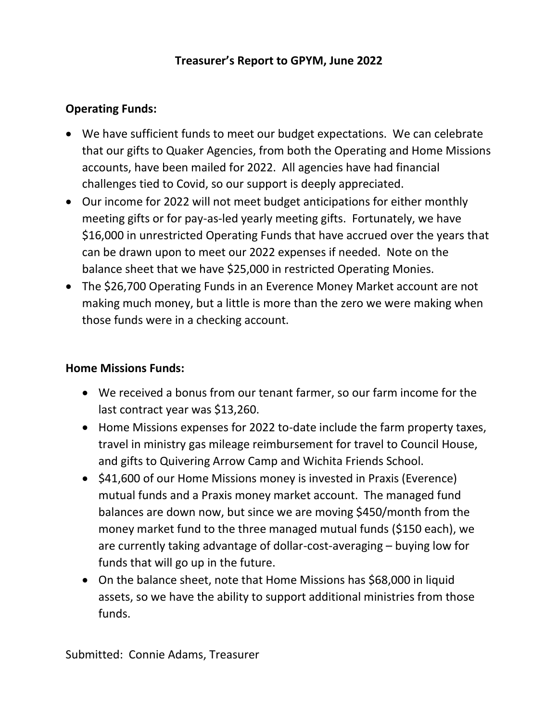## **Treasurer's Report to GPYM, June 2022**

## **Operating Funds:**

- We have sufficient funds to meet our budget expectations. We can celebrate that our gifts to Quaker Agencies, from both the Operating and Home Missions accounts, have been mailed for 2022. All agencies have had financial challenges tied to Covid, so our support is deeply appreciated.
- Our income for 2022 will not meet budget anticipations for either monthly meeting gifts or for pay-as-led yearly meeting gifts. Fortunately, we have \$16,000 in unrestricted Operating Funds that have accrued over the years that can be drawn upon to meet our 2022 expenses if needed. Note on the balance sheet that we have \$25,000 in restricted Operating Monies.
- The \$26,700 Operating Funds in an Everence Money Market account are not making much money, but a little is more than the zero we were making when those funds were in a checking account.

## **Home Missions Funds:**

- We received a bonus from our tenant farmer, so our farm income for the last contract year was \$13,260.
- Home Missions expenses for 2022 to-date include the farm property taxes, travel in ministry gas mileage reimbursement for travel to Council House, and gifts to Quivering Arrow Camp and Wichita Friends School.
- \$41,600 of our Home Missions money is invested in Praxis (Everence) mutual funds and a Praxis money market account. The managed fund balances are down now, but since we are moving \$450/month from the money market fund to the three managed mutual funds (\$150 each), we are currently taking advantage of dollar-cost-averaging – buying low for funds that will go up in the future.
- On the balance sheet, note that Home Missions has \$68,000 in liquid assets, so we have the ability to support additional ministries from those funds.

Submitted: Connie Adams, Treasurer